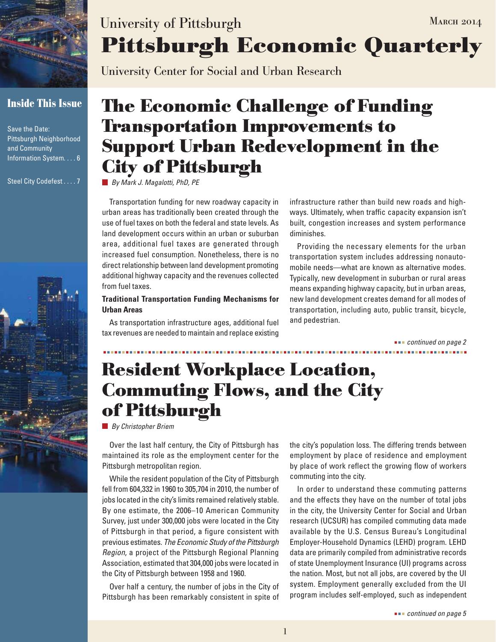

### **Inside This Issue**

Save the Date: Pittsburgh Neighborhood and Community Information System.... 6

Steel City Codefest.... 7



# **Pittsburgh Economic Quarterly** University of Pittsburgh MARCH 2014

University Center for Social and Urban Research

# **The Economic Challenge of Funding Transportation Improvements to Support Urban Redevelopment in the City of Pittsburgh**

*By Mark J. Magalotti, PhD, PE*

Transportation funding for new roadway capacity in urban areas has traditionally been created through the use of fuel taxes on both the federal and state levels. As land development occurs within an urban or suburban area, additional fuel taxes are generated through increased fuel consumption. Nonetheless, there is no direct relationship between land development promoting additional highway capacity and the revenues collected from fuel taxes.

#### **Traditional Transportation Funding Mechanisms for Urban Areas**

As transportation infrastructure ages, additional fuel tax revenues are needed to maintain and replace existing infrastructure rather than build new roads and highways. Ultimately, when traffic capacity expansion isn't built, congestion increases and system performance diminishes.

Providing the necessary elements for the urban transportation system includes addressing nonautomobile needs—what are known as alternative modes. Typically, new development in suburban or rural areas means expanding highway capacity, but in urban areas, new land development creates demand for all modes of transportation, including auto, public transit, bicycle, and pedestrian.

 *continued on page 2*

## **Resident Workplace Location, Commuting Flows, and the City of Pittsburgh**

*By Christopher Briem*

Over the last half century, the City of Pittsburgh has maintained its role as the employment center for the Pittsburgh metropolitan region.

While the resident population of the City of Pittsburgh fell from 604,332 in 1960 to 305,704 in 2010, the number of jobs located in the city's limits remained relatively stable. By one estimate, the 2006–10 American Community Survey, just under 300,000 jobs were located in the City of Pittsburgh in that period, a figure consistent with previous estimates. *The Economic Study of the Pittsburgh Region*, a project of the Pittsburgh Regional Planning Association, estimated that 304,000 jobs were located in the City of Pittsburgh between 1958 and 1960.

Over half a century, the number of jobs in the City of Pittsburgh has been remarkably consistent in spite of the city's population loss. The differing trends between employment by place of residence and employment by place of work reflect the growing flow of workers commuting into the city.

In order to understand these commuting patterns and the effects they have on the number of total jobs in the city, the University Center for Social and Urban research (UCSUR) has compiled commuting data made available by the U.S. Census Bureau's Longitudinal Employer-Household Dynamics (LEHD) program. LEHD data are primarily compiled from administrative records of state Unemployment Insurance (UI) programs across the nation. Most, but not all jobs, are covered by the UI system. Employment generally excluded from the UI program includes self-employed, such as independent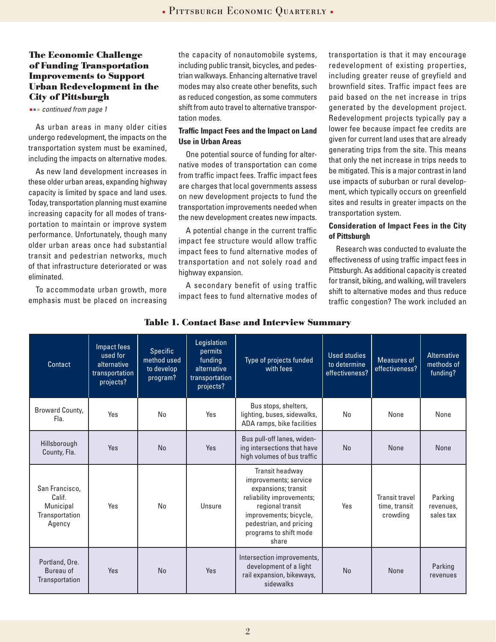#### **The Economic Challenge of Funding Transportation Improvements to Support Urban Redevelopment in the City of Pittsburgh**

 *continued from page 1*

As urban areas in many older cities undergo redevelopment, the impacts on the transportation system must be examined, including the impacts on alternative modes.

As new land development increases in these older urban areas, expanding highway capacity is limited by space and land uses. Today, transportation planning must examine increasing capacity for all modes of transportation to maintain or improve system performance. Unfortunately, though many older urban areas once had substantial transit and pedestrian networks, much of that infrastructure deteriorated or was eliminated.

To accommodate urban growth, more emphasis must be placed on increasing the capacity of nonautomobile systems, including public transit, bicycles, and pedestrian walkways. Enhancing alternative travel modes may also create other benefits, such as reduced congestion, as some commuters shift from auto travel to alternative transportation modes.

#### **Traffic Impact Fees and the Impact on Land Use in Urban Areas**

One potential source of funding for alternative modes of transportation can come from traffic impact fees. Traffic impact fees are charges that local governments assess on new development projects to fund the transportation improvements needed when the new development creates new impacts.

A potential change in the current traffic impact fee structure would allow traffic impact fees to fund alternative modes of transportation and not solely road and highway expansion.

A secondary benefit of using traffic impact fees to fund alternative modes of transportation is that it may encourage redevelopment of existing properties, including greater reuse of greyfield and brownfield sites. Traffic impact fees are paid based on the net increase in trips generated by the development project. Redevelopment projects typically pay a lower fee because impact fee credits are given for current land uses that are already generating trips from the site. This means that only the net increase in trips needs to be mitigated. This is a major contrast in land use impacts of suburban or rural development, which typically occurs on greenfield sites and results in greater impacts on the transportation system.

#### **Consideration of Impact Fees in the City of Pittsburgh**

Research was conducted to evaluate the effectiveness of using traffic impact fees in Pittsburgh. As additional capacity is created for transit, biking, and walking, will travelers shift to alternative modes and thus reduce traffic congestion? The work included an

| Contact                                                           | Impact fees<br>used for<br>alternative<br>transportation<br>projects? | <b>Specific</b><br>method used<br>to develop<br>program? | Legislation<br>permits<br>funding<br>alternative<br>transportation<br>projects? | Type of projects funded<br>with fees                                                                                                                                                                     | Used studies<br>to determine<br>effectiveness? | <b>Measures of</b><br>effectiveness?               | Alternative<br>methods of<br>funding? |
|-------------------------------------------------------------------|-----------------------------------------------------------------------|----------------------------------------------------------|---------------------------------------------------------------------------------|----------------------------------------------------------------------------------------------------------------------------------------------------------------------------------------------------------|------------------------------------------------|----------------------------------------------------|---------------------------------------|
| <b>Broward County,</b><br>Fla.                                    | Yes                                                                   | No                                                       | Yes                                                                             | Bus stops, shelters,<br>lighting, buses, sidewalks,<br>ADA ramps, bike facilities                                                                                                                        | No                                             | None                                               | None                                  |
| Hillsborough<br>County, Fla.                                      | <b>Yes</b>                                                            | No                                                       | <b>Yes</b>                                                                      | Bus pull-off lanes, widen-<br>ing intersections that have<br>high volumes of bus traffic                                                                                                                 | No                                             | None                                               | <b>None</b>                           |
| San Francisco.<br>Calif.<br>Municipal<br>Transportation<br>Agency | Yes                                                                   | <b>No</b>                                                | Unsure                                                                          | Transit headway<br>improvements; service<br>expansions; transit<br>reliability improvements;<br>regional transit<br>improvements; bicycle,<br>pedestrian, and pricing<br>programs to shift mode<br>share | Yes                                            | <b>Transit travel</b><br>time, transit<br>crowding | Parking<br>revenues.<br>sales tax     |
| Portland, Ore.<br>Bureau of<br>Transportation                     | Yes                                                                   | No                                                       | Yes                                                                             | Intersection improvements,<br>development of a light<br>rail expansion, bikeways,<br>sidewalks                                                                                                           | <b>No</b>                                      | None                                               | Parking<br>revenues                   |

#### **Table 1. Contact Base and Interview Summary**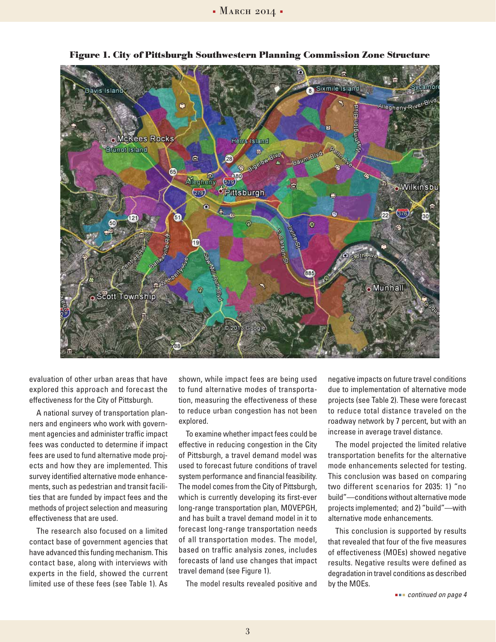

**Figure 1. City of Pittsburgh Southwestern Planning Commission Zone Structure**

evaluation of other urban areas that have explored this approach and forecast the effectiveness for the City of Pittsburgh.

A national survey of transportation planners and engineers who work with government agencies and administer traffic impact fees was conducted to determine if impact fees are used to fund alternative mode projects and how they are implemented. This survey identified alternative mode enhancements, such as pedestrian and transit facilities that are funded by impact fees and the methods of project selection and measuring effectiveness that are used.

The research also focused on a limited contact base of government agencies that have advanced this funding mechanism. This contact base, along with interviews with experts in the field, showed the current limited use of these fees (see Table 1). As shown, while impact fees are being used to fund alternative modes of transportation, measuring the effectiveness of these to reduce urban congestion has not been explored.

To examine whether impact fees could be effective in reducing congestion in the City of Pittsburgh, a travel demand model was used to forecast future conditions of travel system performance and financial feasibility. The model comes from the City of Pittsburgh, which is currently developing its first-ever long-range transportation plan, MOVEPGH, and has built a travel demand model in it to forecast long-range transportation needs of all transportation modes. The model, based on traffic analysis zones, includes forecasts of land use changes that impact travel demand (see Figure 1).

The model results revealed positive and

negative impacts on future travel conditions due to implementation of alternative mode projects (see Table 2). These were forecast to reduce total distance traveled on the roadway network by 7 percent, but with an increase in average travel distance.

The model projected the limited relative transportation benefits for the alternative mode enhancements selected for testing. This conclusion was based on comparing two different scenarios for 2035: 1) "no build"—conditions without alternative mode projects implemented; and 2) "build"—with alternative mode enhancements.

This conclusion is supported by results that revealed that four of the five measures of effectiveness (MOEs) showed negative results. Negative results were defined as degradation in travel conditions as described by the MOEs.

 *continued on page 4*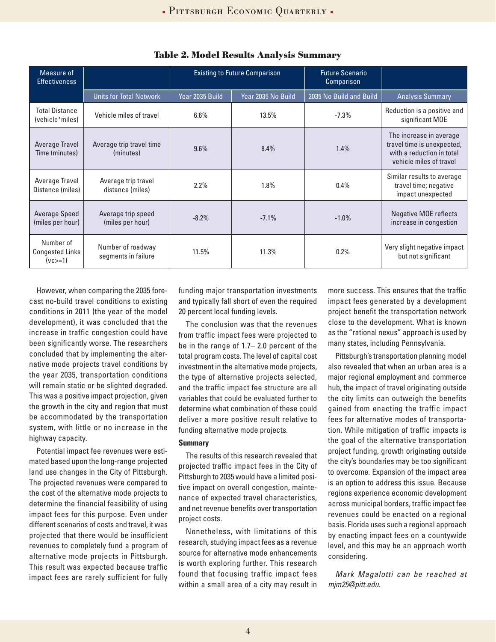| Measure of<br><b>Effectiveness</b>               |                                          | <b>Existing to Future Comparison</b> |                    | <b>Future Scenario</b><br>Comparison |                                                                                                               |
|--------------------------------------------------|------------------------------------------|--------------------------------------|--------------------|--------------------------------------|---------------------------------------------------------------------------------------------------------------|
|                                                  | <b>Units for Total Network</b>           | Year 2035 Build                      | Year 2035 No Build | 2035 No Build and Build              | <b>Analysis Summary</b>                                                                                       |
| <b>Total Distance</b><br>(vehicle*miles)         | Vehicle miles of travel                  | 6.6%                                 | 13.5%              | $-7.3%$                              | Reduction is a positive and<br>significant MOE                                                                |
| Average Travel<br>Time (minutes)                 | Average trip travel time<br>(minutes)    | 9.6%                                 | 8.4%               | 1.4%                                 | The increase in average<br>travel time is unexpected,<br>with a reduction in total<br>vehicle miles of travel |
| Average Travel<br>Distance (miles)               | Average trip travel<br>distance (miles)  | 2.2%                                 | 1.8%               | 0.4%                                 | Similar results to average<br>travel time; negative<br>impact unexpected                                      |
| Average Speed<br>(miles per hour)                | Average trip speed<br>(miles per hour)   | $-8.2%$                              | $-7.1%$            | $-1.0\%$                             | <b>Negative MOE reflects</b><br>increase in congestion                                                        |
| Number of<br><b>Congested Links</b><br>$(vc>=1)$ | Number of roadway<br>segments in failure | 11.5%                                | 11.3%              | $0.2\%$                              | Very slight negative impact<br>but not significant                                                            |

**Table 2. Model Results Analysis Summary**

However, when comparing the 2035 forecast no-build travel conditions to existing conditions in 2011 (the year of the model development), it was concluded that the increase in traffic congestion could have been significantly worse. The researchers concluded that by implementing the alternative mode projects travel conditions by the year 2035, transportation conditions will remain static or be slighted degraded. This was a positive impact projection, given the growth in the city and region that must be accommodated by the transportation system, with little or no increase in the highway capacity.

Potential impact fee revenues were estimated based upon the long-range projected land use changes in the City of Pittsburgh. The projected revenues were compared to the cost of the alternative mode projects to determine the financial feasibility of using impact fees for this purpose. Even under different scenarios of costs and travel, it was projected that there would be insufficient revenues to completely fund a program of alternative mode projects in Pittsburgh. This result was expected because traffic impact fees are rarely sufficient for fully funding major transportation investments and typically fall short of even the required 20 percent local funding levels.

The conclusion was that the revenues from traffic impact fees were projected to be in the range of 1.7– 2.0 percent of the total program costs. The level of capital cost investment in the alternative mode projects, the type of alternative projects selected, and the traffic impact fee structure are all variables that could be evaluated further to determine what combination of these could deliver a more positive result relative to funding alternative mode projects.

#### **Summary**

The results of this research revealed that projected traffic impact fees in the City of Pittsburgh to 2035 would have a limited positive impact on overall congestion, maintenance of expected travel characteristics, and net revenue benefits over transportation project costs.

Nonetheless, with limitations of this research, studying impact fees as a revenue source for alternative mode enhancements is worth exploring further. This research found that focusing traffic impact fees within a small area of a city may result in

more success. This ensures that the traffic impact fees generated by a development project benefit the transportation network close to the development. What is known as the "rational nexus" approach is used by many states, including Pennsylvania.

Pittsburgh's transportation planning model also revealed that when an urban area is a major regional employment and commerce hub, the impact of travel originating outside the city limits can outweigh the benefits gained from enacting the traffic impact fees for alternative modes of transportation. While mitigation of traffic impacts is the goal of the alternative transportation project funding, growth originating outside the city's boundaries may be too significant to overcome. Expansion of the impact area is an option to address this issue. Because regions experience economic development across municipal borders, traffic impact fee revenues could be enacted on a regional basis. Florida uses such a regional approach by enacting impact fees on a countywide level, and this may be an approach worth considering.

*Mark Magalotti can be reached at mjm25@pitt.edu.*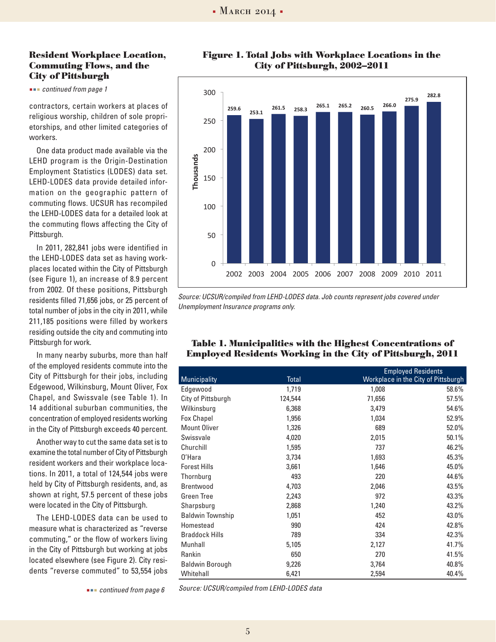#### **Resident Workplace Location, Commuting Flows, and the City of Pittsburgh**

 *continued from page 1*

contractors, certain workers at places of religious worship, children of sole proprietorships, and other limited categories of workers.

One data product made available via the LEHD program is the Origin-Destination Employment Statistics (LODES) data set. LEHD-LODES data provide detailed information on the geographic pattern of commuting flows. UCSUR has recompiled the LEHD-LODES data for a detailed look at the commuting flows affecting the City of Pittsburgh.

In 2011, 282,841 jobs were identified in the LEHD-LODES data set as having workplaces located within the City of Pittsburgh (see Figure 1), an increase of 8.9 percent from 2002. Of these positions, Pittsburgh residents filled 71,656 jobs, or 25 percent of total number of jobs in the city in 2011, while 211,185 positions were filled by workers residing outside the city and commuting into Pittsburgh for work.

In many nearby suburbs, more than half of the employed residents commute into the City of Pittsburgh for their jobs, including Edgewood, Wilkinsburg, Mount Oliver, Fox Chapel, and Swissvale (see Table 1). In 14 additional suburban communities, the concentration of employed residents working in the City of Pittsburgh exceeds 40 percent.

Another way to cut the same data set is to examine the total number of City of Pittsburgh resident workers and their workplace locations. In 2011, a total of 124,544 jobs were held by City of Pittsburgh residents, and, as shown at right, 57.5 percent of these jobs were located in the City of Pittsburgh.

The LEHD-LODES data can be used to measure what is characterized as "reverse commuting," or the flow of workers living in the City of Pittsburgh but working at jobs located elsewhere (see Figure 2). City residents "reverse commuted" to 53,554 jobs

 *continued from page 6*

**Figure 1. Total Jobs with Workplace Locations in the City of Pittsburgh, 2002–2011**



.<br>SUR/compiled from LEHD-LODES data. Job counts represent inhs covered under Source: UCSUR/compiled from LEHD-LODES data. Job counts represent jobs covered under<br>Unemployment hours of a management of *Unemployment Insurance programs only.*

| Table 1. Municipalities with the Highest Concentrations of |  |  |
|------------------------------------------------------------|--|--|
| Employed Residents Working in the City of Pittsburgh, 2011 |  |  |

|                         |              |        | <b>Employed Residents</b>           |  |  |
|-------------------------|--------------|--------|-------------------------------------|--|--|
| <b>Municipality</b>     | <b>Total</b> |        | Workplace in the City of Pittsburgh |  |  |
| Edgewood                | 1,719        | 1,008  | 58.6%                               |  |  |
| City of Pittsburgh      | 124,544      | 71,656 | 57.5%                               |  |  |
| Wilkinsburg             | 6,368        | 3,479  | 54.6%                               |  |  |
| <b>Fox Chapel</b>       | 1,956        | 1,034  | 52.9%                               |  |  |
| <b>Mount Oliver</b>     | 1,326        | 689    | 52.0%                               |  |  |
| Swissvale               | 4,020        | 2,015  | 50.1%                               |  |  |
| Churchill               | 1,595        | 737    | 46.2%                               |  |  |
| 0'Hara                  | 3,734        | 1,693  | 45.3%                               |  |  |
| <b>Forest Hills</b>     | 3,661        | 1,646  | 45.0%                               |  |  |
| Thornburg               | 493          | 220    | 44.6%                               |  |  |
| Brentwood               | 4,703        | 2,046  | 43.5%                               |  |  |
| Green Tree              | 2,243        | 972    | 43.3%                               |  |  |
| Sharpsburg              | 2,868        | 1,240  | 43.2%                               |  |  |
| <b>Baldwin Township</b> | 1,051        | 452    | 43.0%                               |  |  |
| Homestead               | 990          | 424    | 42.8%                               |  |  |
| <b>Braddock Hills</b>   | 789          | 334    | 42.3%                               |  |  |
| Munhall                 | 5,105        | 2,127  | 41.7%                               |  |  |
| Rankin                  | 650          | 270    | 41.5%                               |  |  |
| <b>Baldwin Borough</b>  | 9,226        | 3,764  | 40.8%                               |  |  |
| Whitehall               | 6,421        | 2,594  | 40.4%                               |  |  |

*Source: UCSUR/compiled from LEHD-LODES data*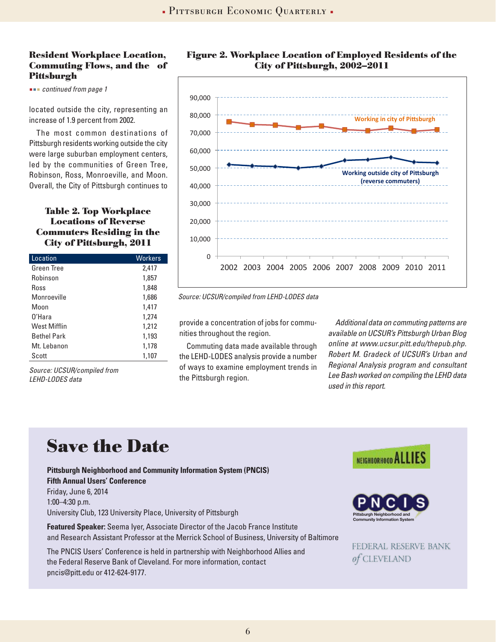#### **Resident Workplace Location, Commuting Flows, and the of Pittsburgh**

 *continued from page 1*

located outside the city, representing an increase of 1.9 percent from 2002.

The most common destinations of Pittsburgh residents working outside the city were large suburban employment centers, led by the communities of Green Tree, Robinson, Ross, Monroeville, and Moon. Overall, the City of Pittsburgh continues to

#### **Table 2. Top Workplace Locations of Reverse Commuters Residing in the City of Pittsburgh, 2011**

| Location            | <b>Workers</b> |
|---------------------|----------------|
| Green Tree          | 2,417          |
| Robinson            | 1,857          |
| Ross                | 1,848          |
| Monroeville         | 1,686          |
| Moon                | 1,417          |
| 0'Hara              | 1,274          |
| <b>West Mifflin</b> | 1,212          |
| <b>Bethel Park</b>  | 1,193          |
| Mt. Lebanon         | 1,178          |
| Scott               | 1,107          |
|                     |                |

*Source: UCSUR/compiled from LEHD-LODES data*

![](_page_5_Figure_8.jpeg)

![](_page_5_Figure_9.jpeg)

*Source: UCSUR/compiled from LEHD-LODES data* 

provide a concentration of jobs for communities throughout the region.

Commuting data made available through the LEHD-LODES analysis provide a number of ways to examine employment trends in the Pittsburgh region.

*Additional data on commuting patterns are available on UCSUR's Pittsburgh Urban Blog online at www.ucsur.pitt.edu/thepub.php. Robert M. Gradeck of UCSUR's Urban and Regional Analysis program and consultant Lee Bash worked on compiling the LEHD data used in this report.* 

## **Save the Date**

**Pittsburgh Neighborhood and Community Information System (PNCIS) Fifth Annual Users' Conference** Friday, June 6, 2014 1:00–4:30 p.m. University Club, 123 University Place, University of Pittsburgh

**Featured Speaker:** Seema Iyer, Associate Director of the Jacob France Institute and Research Assistant Professor at the Merrick School of Business, University of Baltimore

The PNCIS Users' Conference is held in partnership with Neighborhood Allies and the Federal Reserve Bank of Cleveland. For more information, contact pncis@pitt.edu or 412-624-9177.

![](_page_5_Picture_18.jpeg)

![](_page_5_Picture_19.jpeg)

FEDERAL RESERVE BANK of CLEVELAND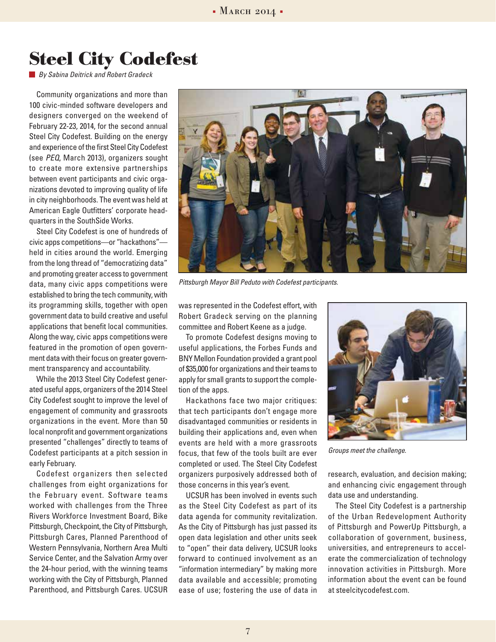### **Steel City Codefest**

*By Sabina Deitrick and Robert Gradeck*

Community organizations and more than 100 civic-minded software developers and designers converged on the weekend of February 22-23, 2014, for the second annual Steel City Codefest. Building on the energy and experience of the first Steel City Codefest (see *PEQ*, March 2013), organizers sought to create more extensive partnerships between event participants and civic organizations devoted to improving quality of life in city neighborhoods. The event was held at American Eagle Outfitters' corporate headquarters in the SouthSide Works.

Steel City Codefest is one of hundreds of civic apps competitions—or "hackathons" held in cities around the world. Emerging from the long thread of "democratizing data" and promoting greater access to government data, many civic apps competitions were established to bring the tech community, with its programming skills, together with open government data to build creative and useful applications that benefit local communities. Along the way, civic apps competitions were featured in the promotion of open government data with their focus on greater government transparency and accountability.

While the 2013 Steel City Codefest generated useful apps, organizers of the 2014 Steel City Codefest sought to improve the level of engagement of community and grassroots organizations in the event. More than 50 local nonprofit and government organizations presented "challenges" directly to teams of Codefest participants at a pitch session in early February.

Codefest organizers then selected challenges from eight organizations for the February event. Software teams worked with challenges from the Three Rivers Workforce Investment Board, Bike Pittsburgh, Checkpoint, the City of Pittsburgh, Pittsburgh Cares, Planned Parenthood of Western Pennsylvania, Northern Area Multi Service Center, and the Salvation Army over the 24-hour period, with the winning teams working with the City of Pittsburgh, Planned Parenthood, and Pittsburgh Cares. UCSUR

![](_page_6_Picture_7.jpeg)

*Pittsburgh Mayor Bill Peduto with Codefest participants.*

was represented in the Codefest effort, with Robert Gradeck serving on the planning committee and Robert Keene as a judge.

To promote Codefest designs moving to useful applications, the Forbes Funds and BNY Mellon Foundation provided a grant pool of \$35,000 for organizations and their teams to apply for small grants to support the completion of the apps.

Hackathons face two major critiques: that tech participants don't engage more disadvantaged communities or residents in building their applications and, even when events are held with a more grassroots focus, that few of the tools built are ever completed or used. The Steel City Codefest organizers purposively addressed both of those concerns in this year's event.

UCSUR has been involved in events such as the Steel City Codefest as part of its data agenda for community revitalization. As the City of Pittsburgh has just passed its open data legislation and other units seek to "open" their data delivery, UCSUR looks forward to continued involvement as an "information intermediary" by making more data available and accessible; promoting ease of use; fostering the use of data in

![](_page_6_Picture_13.jpeg)

*Groups meet the challenge.*

research, evaluation, and decision making; and enhancing civic engagement through data use and understanding.

The Steel City Codefest is a partnership of the Urban Redevelopment Authority of Pittsburgh and PowerUp Pittsburgh, a collaboration of government, business, universities, and entrepreneurs to accelerate the commercialization of technology innovation activities in Pittsburgh. More information about the event can be found at steelcitycodefest.com.